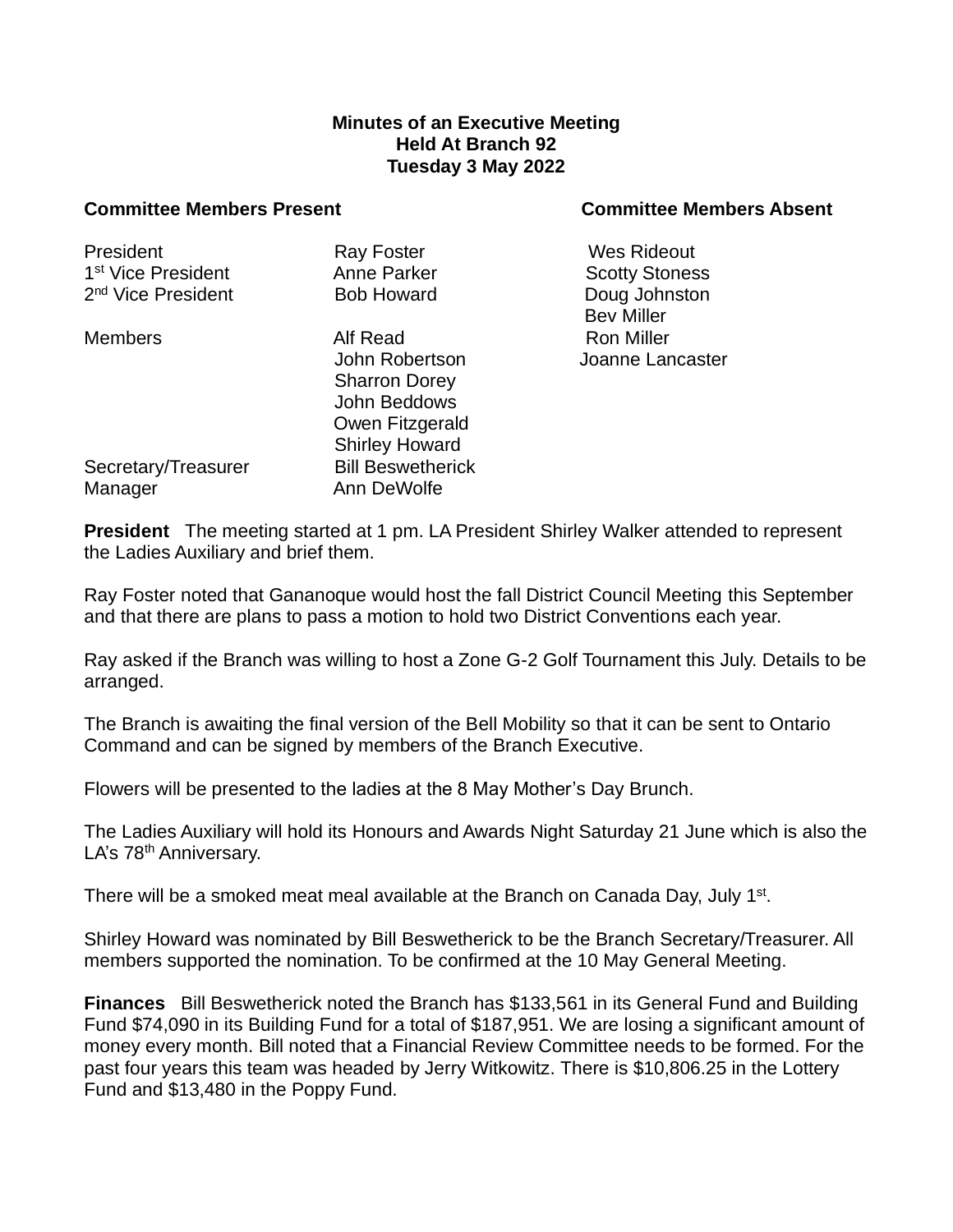## **Minutes of an Executive Meeting Held At Branch 92 Tuesday 3 May 2022**

## **Committee Members Present Committee Members Absent**

| President                      | Ray Foster               |  |
|--------------------------------|--------------------------|--|
| 1 <sup>st</sup> Vice President | Anne Parker              |  |
| 2 <sup>nd</sup> Vice President | <b>Bob Howard</b>        |  |
| <b>Members</b>                 | Alf Read                 |  |
|                                | John Robertson           |  |
|                                | <b>Sharron Dorey</b>     |  |
|                                | John Beddows             |  |
|                                | Owen Fitzgerald          |  |
|                                | <b>Shirley Howard</b>    |  |
| Secretary/Treasurer            | <b>Bill Beswetherick</b> |  |
| Manager                        | Ann DeWolfe              |  |

Wes Rideout Scotty Stoness Doug Johnston Bev Miller Ron Miller Joanne Lancaster

**President** The meeting started at 1 pm. LA President Shirley Walker attended to represent the Ladies Auxiliary and brief them.

Ray Foster noted that Gananoque would host the fall District Council Meeting this September and that there are plans to pass a motion to hold two District Conventions each year.

Ray asked if the Branch was willing to host a Zone G-2 Golf Tournament this July. Details to be arranged.

The Branch is awaiting the final version of the Bell Mobility so that it can be sent to Ontario Command and can be signed by members of the Branch Executive.

Flowers will be presented to the ladies at the 8 May Mother's Day Brunch.

The Ladies Auxiliary will hold its Honours and Awards Night Saturday 21 June which is also the LA's 78<sup>th</sup> Anniversary.

There will be a smoked meat meal available at the Branch on Canada Day, July 1<sup>st</sup>.

Shirley Howard was nominated by Bill Beswetherick to be the Branch Secretary/Treasurer. All members supported the nomination. To be confirmed at the 10 May General Meeting.

**Finances** Bill Beswetherick noted the Branch has \$133,561 in its General Fund and Building Fund \$74,090 in its Building Fund for a total of \$187,951. We are losing a significant amount of money every month. Bill noted that a Financial Review Committee needs to be formed. For the past four years this team was headed by Jerry Witkowitz. There is \$10,806.25 in the Lottery Fund and \$13,480 in the Poppy Fund.